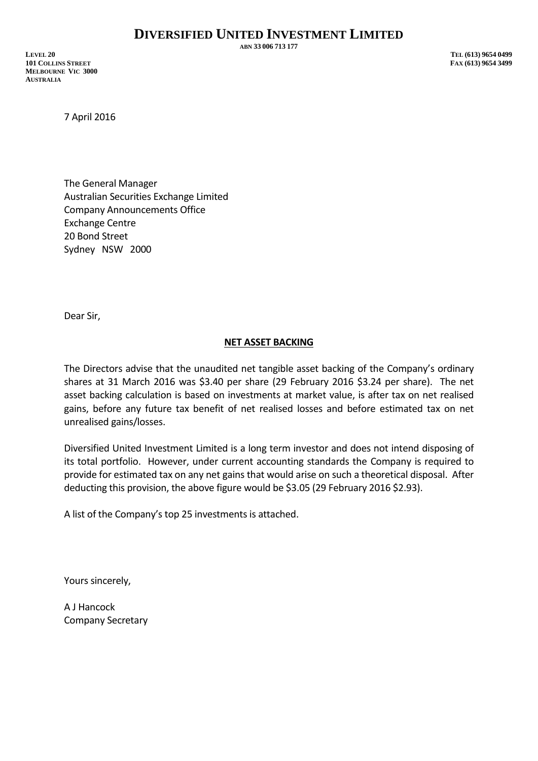**ABN 33 006 713 177**

**LEVEL 20 TEL (613) 9654 0499 101 COLLINS STREET FAX (613) 9654 3499 MELBOURNE VIC 3000 AUSTRALIA**

7 April 2016

The General Manager Australian Securities Exchange Limited Company Announcements Office Exchange Centre 20 Bond Street Sydney NSW 2000

Dear Sir,

## **NET ASSET BACKING**

The Directors advise that the unaudited net tangible asset backing of the Company's ordinary shares at 31 March 2016 was \$3.40 per share (29 February 2016 \$3.24 per share). The net asset backing calculation is based on investments at market value, is after tax on net realised gains, before any future tax benefit of net realised losses and before estimated tax on net unrealised gains/losses.

Diversified United Investment Limited is a long term investor and does not intend disposing of its total portfolio. However, under current accounting standards the Company is required to provide for estimated tax on any net gains that would arise on such a theoretical disposal. After deducting this provision, the above figure would be \$3.05 (29 February 2016 \$2.93).

A list of the Company's top 25 investments is attached.

Yours sincerely,

A J Hancock Company Secretary